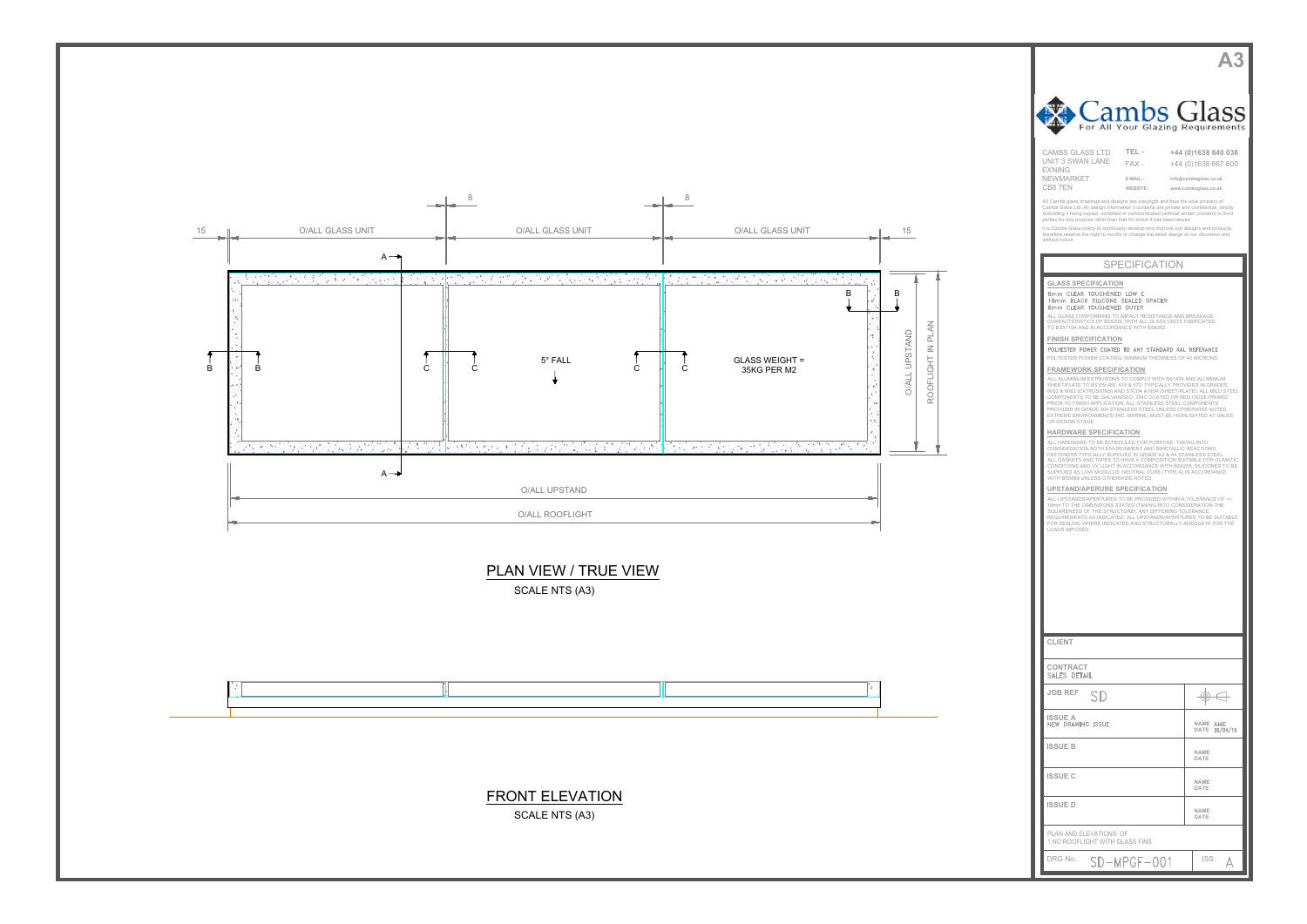



|                                                                                                                                                                                                                                                                                                                                                     | <b>A3</b>                                     |  |
|-----------------------------------------------------------------------------------------------------------------------------------------------------------------------------------------------------------------------------------------------------------------------------------------------------------------------------------------------------|-----------------------------------------------|--|
|                                                                                                                                                                                                                                                                                                                                                     |                                               |  |
| Cambs Glass                                                                                                                                                                                                                                                                                                                                         |                                               |  |
| For All Your Glazing Requirements                                                                                                                                                                                                                                                                                                                   |                                               |  |
| <b>CAMBS GLASS LTD</b><br>TEL-<br>UNIT 3 SWAN LANE<br>FAX -<br><b>EXNING</b>                                                                                                                                                                                                                                                                        | +44 (0) 1638 640 038<br>+44 (0)1638 667 600   |  |
| NEWMARKET<br>E-MAIL -<br>CB87EN<br>WEBSITE -                                                                                                                                                                                                                                                                                                        | info@cambsglass.co.uk<br>www.cambsglass.co.uk |  |
| All Cambs glass drawings and designs are copyright and thus the sole property of<br>Cambs Glass Ltd. All design information it contains are private and confidential, strictly<br>forbidding it being copied, exhibited or communicated (without written consent) to third<br>parties for any purpose other than that for which it has been issued. |                                               |  |
| it is Cambs Glass policy to continually develop and improve our designs and products,<br>therefore reserve the right to modify or change the detail design at our discretion and<br>without notice                                                                                                                                                  |                                               |  |
| <b>SPECIFICATION</b>                                                                                                                                                                                                                                                                                                                                |                                               |  |
| <b>GLASS SPECIFICATION</b><br>6mm CLEAR TOUGHENED LOW E<br>16mm BLACK SILICONE SEALED SPACER                                                                                                                                                                                                                                                        |                                               |  |
| 6mm CLEAR TOUGHENED OUTER<br>ALL GLASS CONFORMING TO IMPACT RESISTANCE AND BREAKAGE<br>CHARACTERISTICS OF BS6206, WITH ALL GLASS UNITS FABRICATED<br>TO BS5713A AND IN ACCORDANCE WITH BS6262                                                                                                                                                       |                                               |  |
| <b>FINISH SPECIFICATION</b><br>POLYESTER POWER COATED TO ANY STANDARD RAL REFERANCE                                                                                                                                                                                                                                                                 |                                               |  |
| POLYESTER POWER COATING, MINIMUM THICKNESS OF 40 MICRONS.<br><b>FRAMEWORK SPECIFICATION</b><br>ALL ALUMINIUM EXTRUSIONS TO COMPLY WITH BS1474 AND ALUMINIUM                                                                                                                                                                                         |                                               |  |
| SHEET/PLATE TO BS EN 485, 515 & 573. TYPICALLY PROVIDED IN GRADES<br>6063 & 6082 (EXTRUSIONS) AND S1CH4 & NS4 (SHEET/PLATE). ALL MILD STEEL<br>COMPONENTS TO BE GALVANISED, ZINC COATED OR RED OXIDE PRIMED<br>PRIOR TO FINISH APPLICATION. ALL STAINLESS STEEL COMPONENTS                                                                          |                                               |  |
| PROVIDED IN GRADE 304 STAINLESS STEEL UNLESS OTHERWISE NOTED.<br>EXTREME ENVIRONMENTS (INC. MARINE) MUST BE HIGHLIGHTED AT SALES<br>OR DESIGN STAGE.<br>HARDWARE SPECIFICATION                                                                                                                                                                      |                                               |  |
| ALL HARDWARE TO BE SCHEDULED FOR PURPOSE, TAKING INTO<br>CONSIDERATION BOTH ENVIRONMENT AND BIMETALLIC REACTIONS.<br>FASTENERS TYPICALLY SUPPLIED IN GRADE A2 & A4 STAINLESS STEEL.<br>ALL GASKETS AND TAPES TO HAVE A COMPOSITION SUITABLE FOR CLIMATIC<br>CONDITIONS AND UV LIGHT IN ACCORDANCE WITH BS4255. SILICONES TO BE                      |                                               |  |
| SUPPLIED AS LOW MODULUS, NEUTRAL CURE (TYPE A) IN ACCORDANCE<br>WITH BS5889 UNLESS OTHERWISE NOTED.<br>UPSTAND/APERURE SPECIFICATION                                                                                                                                                                                                                |                                               |  |
| ALL UPSTANDS/APERTURES TO BE PROVIDED WITHIN A TOLERANCE OF +/-<br>10mm TO THE DIMENSIONS STATED (TAKING INTO CONSIDERATION THE<br>SQUARENESS OF THE STRUCTURE). ANY DIFFERING TOLERANCE<br>REQUIREMENTS AS INDICATED. ALL UPSTANDS/APERTURES TO BE SUITABLE                                                                                        |                                               |  |
| FOR SEALING WHERE INDICATED AND STRUCTURALLY ADEQUATE FOR THE<br>LOADS IMPOSED.                                                                                                                                                                                                                                                                     |                                               |  |
|                                                                                                                                                                                                                                                                                                                                                     |                                               |  |
|                                                                                                                                                                                                                                                                                                                                                     |                                               |  |
|                                                                                                                                                                                                                                                                                                                                                     |                                               |  |
| <b>CLIENT</b>                                                                                                                                                                                                                                                                                                                                       |                                               |  |
| CONTRACT<br>SALES DETAIL                                                                                                                                                                                                                                                                                                                            |                                               |  |
| <b>JOB REF</b><br>SD                                                                                                                                                                                                                                                                                                                                | ⊛                                             |  |
| <b>ISSUE A</b><br>NEW DRAWING ISSUE                                                                                                                                                                                                                                                                                                                 | NAME AME<br><b>DATE</b><br>30/04/15           |  |
| <b>ISSUE B</b>                                                                                                                                                                                                                                                                                                                                      | NAME<br>DATE                                  |  |
| <b>ISSUE C</b>                                                                                                                                                                                                                                                                                                                                      | NAME<br>DATE                                  |  |
| <b>ISSUED</b>                                                                                                                                                                                                                                                                                                                                       | NAME<br>DATE                                  |  |
| PLAN AND ELEVATIONS OF<br>1 NO ROOFLIGHT WITH GLASS FINS                                                                                                                                                                                                                                                                                            |                                               |  |
| DRG No.<br>SD-MPGF-001                                                                                                                                                                                                                                                                                                                              | ISS.<br>Д                                     |  |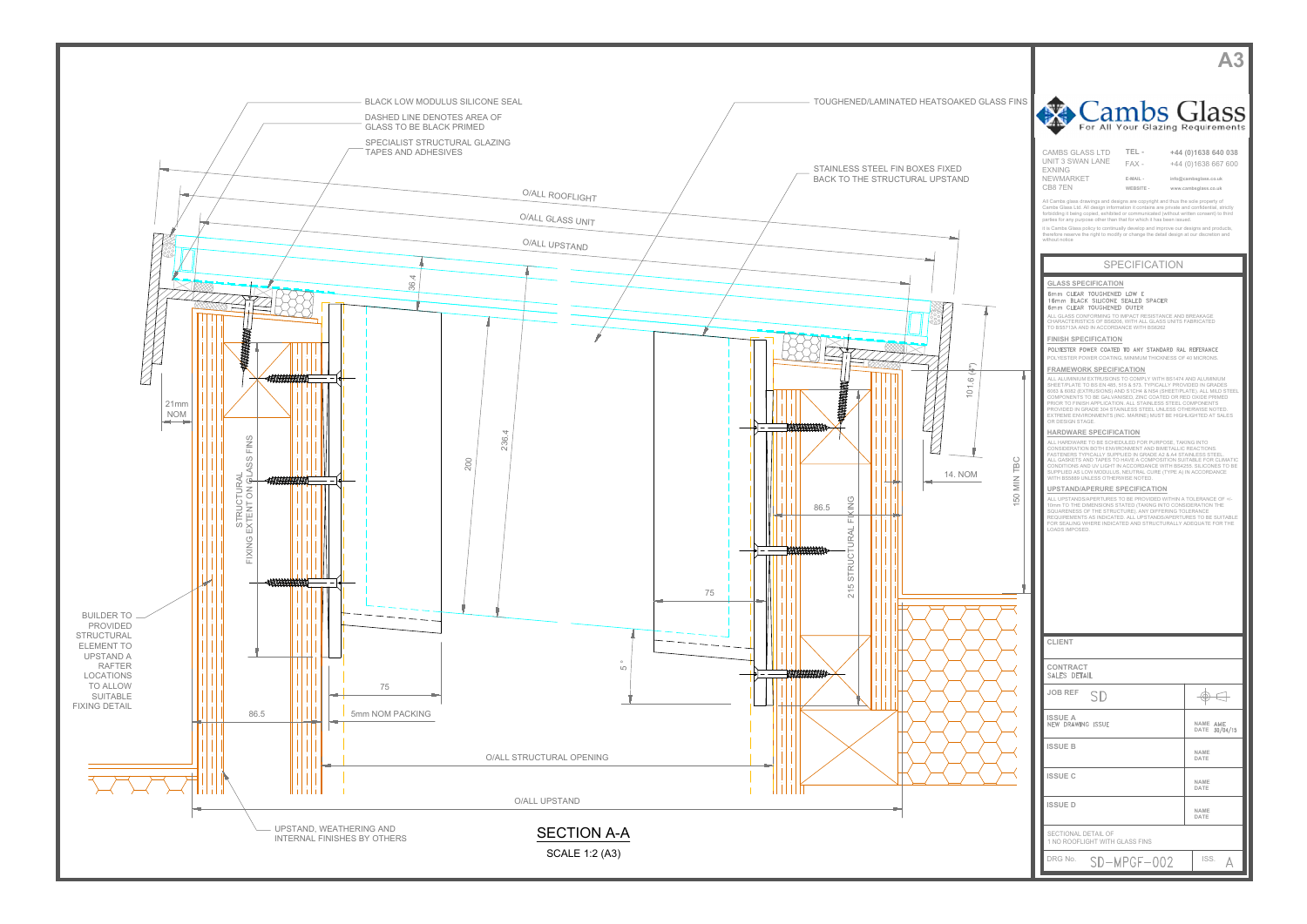

V<br>NAME<br>DATE **DATE**<br> **NAME DATE NAME DATE DATE**<br> **NAME EXAMPLE THE VALUE OF A SECURE CARR CARR CONTROL CONTROL CONTROL CONTROL CONTROL CONTROL CONTROL CONTROL CONTROL CONTROL CONTROL CONTROL CONTROL CONTROL CONTROL CONTROL CONTROL CONTROL CONTROL CONTROL CONTROL CONTROL CONTR** AND CONTRACT FOR CONSUMERANT CONTRACT AND CONSUMERANT CONTRACT CONTRACT CONTRACT CONTRACT CONTRACT CONTRACT CONTRACT CONTRACT CONTRACT CONTRACT CONTRACT CONTRACT CONTRACT CONTRACT CONTRACT CONTRACT CONTRACT CONTRACT CONTRA